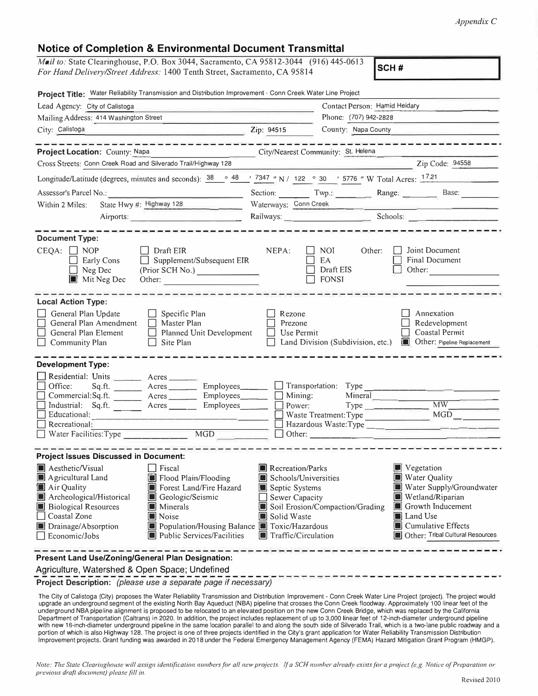## **Notice of Completion & Environmental Document Transmittal**

*Mail to:* State Clearinghouse, P.O. Box 3044, Sacramento, CA 95812-3044 (916) 445-0613 *For Hand Delivery/Street Address:* 1400 Tenth Street, Sacramento, CA 95814 **SCH #** 

| Project Title: Water Reliability Transmission and Distribution Improvement - Conn Creek Water Line Project<br>Lead Agency: City of Calistoga                                                                                                                                       |                                                                                                                   | Contact Person: Hamid Heidary                           |         |                                                                                                                                                                                                                                                                                                                                                                                                                                                                                            |
|------------------------------------------------------------------------------------------------------------------------------------------------------------------------------------------------------------------------------------------------------------------------------------|-------------------------------------------------------------------------------------------------------------------|---------------------------------------------------------|---------|--------------------------------------------------------------------------------------------------------------------------------------------------------------------------------------------------------------------------------------------------------------------------------------------------------------------------------------------------------------------------------------------------------------------------------------------------------------------------------------------|
| Mailing Address: 414 Washington Street                                                                                                                                                                                                                                             |                                                                                                                   | Phone: (707) 942-2828                                   |         |                                                                                                                                                                                                                                                                                                                                                                                                                                                                                            |
| City: Calistoga                                                                                                                                                                                                                                                                    | Zip: 94515                                                                                                        | County: Napa County                                     |         |                                                                                                                                                                                                                                                                                                                                                                                                                                                                                            |
|                                                                                                                                                                                                                                                                                    |                                                                                                                   |                                                         |         | والمالمان والمالية المالية المالية والمالية المالية المالية المالية المالية المالية المالية المالية المالية ال                                                                                                                                                                                                                                                                                                                                                                             |
| Project Location: County: Napa                                                                                                                                                                                                                                                     | City/Nearest Community: St. Helena                                                                                |                                                         |         |                                                                                                                                                                                                                                                                                                                                                                                                                                                                                            |
| Cross Streets: Conn Creek Road and Silverado Trail/Highway 128                                                                                                                                                                                                                     |                                                                                                                   |                                                         |         | $\blacksquare$ $\blacksquare$ $\blacksquare$ $\blacksquare$ $\blacksquare$ $\blacksquare$ $\blacksquare$ $\blacksquare$ $\blacksquare$ $\blacksquare$ $\blacksquare$ $\blacksquare$ $\blacksquare$ $\blacksquare$ $\blacksquare$ $\blacksquare$ $\blacksquare$ $\blacksquare$ $\blacksquare$ $\blacksquare$ $\blacksquare$ $\blacksquare$ $\blacksquare$ $\blacksquare$ $\blacksquare$ $\blacksquare$ $\blacksquare$ $\blacksquare$ $\blacksquare$ $\blacksquare$ $\blacksquare$ $\blacks$ |
| Longitude/Latitude (degrees, minutes and seconds): $\frac{38}{9}$ $\frac{48}{7347}$ N / 122 ° 30 ' 5776 " W Total Acres: 1721                                                                                                                                                      |                                                                                                                   |                                                         |         |                                                                                                                                                                                                                                                                                                                                                                                                                                                                                            |
| Assessor's Parcel No.:                                                                                                                                                                                                                                                             |                                                                                                                   |                                                         |         | Section: Twp.: Range: Base:                                                                                                                                                                                                                                                                                                                                                                                                                                                                |
| State Hwy #: Highway 128<br>Within 2 Miles:                                                                                                                                                                                                                                        | Waterways: Conn Creek                                                                                             |                                                         |         |                                                                                                                                                                                                                                                                                                                                                                                                                                                                                            |
| Airports:                                                                                                                                                                                                                                                                          |                                                                                                                   |                                                         |         |                                                                                                                                                                                                                                                                                                                                                                                                                                                                                            |
| .<br>المحادث المحادث المحادث المحادث المحادث المحادث المحادث المحادث المحادث المحادث المحادث المحادث المحادث المحادث                                                                                                                                                               |                                                                                                                   |                                                         |         |                                                                                                                                                                                                                                                                                                                                                                                                                                                                                            |
| <b>Document Type:</b><br>$CEQA: \Box NOP$<br>    Draft EIR<br>$\Box$ Supplement/Subsequent EIR<br>Early Cons<br>Neg Dec<br>(Prior SCH No.)<br>$\Box$<br>$\blacksquare$ Mit Neg Dec<br>Other:                                                                                       | NEPA:                                                                                                             | $\Box$ NOI<br>EA<br>Draft EIS<br>$\Box$ FONSI           | Other:  | Joint Document<br>Final Document<br>Other:                                                                                                                                                                                                                                                                                                                                                                                                                                                 |
| <b>Local Action Type:</b><br>General Plan Update<br>$\Box$ Specific Plan<br>General Plan Amendment<br>Master Plan<br>$\Box$<br>General Plan Element<br>Planned Unit Development<br>$\Box$<br>Site Plan<br><b>Community Plan</b>                                                    | Rezone<br>Prezone                                                                                                 | Use Permit                                              |         | Annexation<br>Redevelopment<br>Coastal Permit<br>Land Division (Subdivision, etc.) In Other: Pipeline Replacement                                                                                                                                                                                                                                                                                                                                                                          |
| <b>Development Type:</b>                                                                                                                                                                                                                                                           |                                                                                                                   |                                                         |         |                                                                                                                                                                                                                                                                                                                                                                                                                                                                                            |
| Residential: Units _______ Acres                                                                                                                                                                                                                                                   |                                                                                                                   |                                                         |         |                                                                                                                                                                                                                                                                                                                                                                                                                                                                                            |
| Office:                                                                                                                                                                                                                                                                            |                                                                                                                   |                                                         |         |                                                                                                                                                                                                                                                                                                                                                                                                                                                                                            |
| Commercial:Sq.ft. __________ Acres _________ Employees _______<br>Industrial: Sq.ft. _______ Acres _______ Employees _____                                                                                                                                                         |                                                                                                                   | $\Box$ Mining:<br>Power:                                | Mineral | $Type$ $MW$                                                                                                                                                                                                                                                                                                                                                                                                                                                                                |
|                                                                                                                                                                                                                                                                                    |                                                                                                                   | Waste Treatment: Type                                   |         | MGD                                                                                                                                                                                                                                                                                                                                                                                                                                                                                        |
| $\Box$ Recreational:                                                                                                                                                                                                                                                               |                                                                                                                   |                                                         |         |                                                                                                                                                                                                                                                                                                                                                                                                                                                                                            |
|                                                                                                                                                                                                                                                                                    | $\overline{\text{MGD}}$                                                                                           |                                                         |         |                                                                                                                                                                                                                                                                                                                                                                                                                                                                                            |
| <b>Project Issues Discussed in Document:</b>                                                                                                                                                                                                                                       |                                                                                                                   |                                                         |         |                                                                                                                                                                                                                                                                                                                                                                                                                                                                                            |
| Aesthetic/Visual<br>$\Box$ Fiscal<br>Flood Plain/Flooding<br>$\blacksquare$ Agricultural Land<br>Air Quality<br>Forest Land/Fire Hazard<br>Archeological/Historical<br>Geologic/Seismic<br><b>Biological Resources</b><br>Minerals<br>Coastal Zone<br>Noise<br>Drainage/Absorption | Recreation/Parks<br>Septic Systems<br>Sewer Capacity<br>Solid Waste<br>Population/Housing Balance Toxic/Hazardous | Schools/Universities<br>Soil Erosion/Compaction/Grading |         | $\blacksquare$ Vegetation<br>Water Quality<br>Water Supply/Groundwater<br>Wetland/Riparian<br>Growth Inducement<br>Land Use<br>Cumulative Effects                                                                                                                                                                                                                                                                                                                                          |
| Economic/Jobs<br>Public Services/Facilities                                                                                                                                                                                                                                        |                                                                                                                   | Traffic/Circulation                                     |         | Other: Tribal Cultural Resources                                                                                                                                                                                                                                                                                                                                                                                                                                                           |
| Present Land Use/Zoning/General Plan Designation:<br>Agriculture, Watershed & Open Space; Undefined<br><b>Project Deparintion:</b> (please use a separate nage if necessary)                                                                                                       |                                                                                                                   |                                                         |         |                                                                                                                                                                                                                                                                                                                                                                                                                                                                                            |

**Project Description:** *(please use* **a** *separate page if necessary)* 

The City of Calistoga (City) proposes the Water Reliability Transmission and Distribution Improvement - Conn Creek Water Line Project (project). The project would upgrade an underground segment of the existing North Bay Aqueduct (NBA) pipeline that crosses the Conn Creek floodway. Approximately 100 linear feet of the underground NBA pipeline alignment is proposed to be relocated to an elevated position on the new Conn Creek Bridge, which was replaced by the California Department of Transportation (Caltrans) in 2020. In addition, the project includes replacement of up to 3,000 linear feet of 12-inch-diameter underground pipeline with new 16-inch-diameter underground pipeline in the same location parallel to and along the south side of Silverado Trail, which is a two-lane public roadway and a portion of which is also Highway 128. The project is one of three projects identified in the City's grant application for Water Reliability Transmission Distribution Improvement projects. Grant funding was awarded in 2018 under the Federal Emergency Management Agency (FEMA) Hazard Mitigation Grant Program (HMGP).

Note: The State Clearinghouse will assign identification numbers for all new projects. If a SCH number already exists for a project (e.g. Notice of Preparation or *previous draft document) please fill in.*